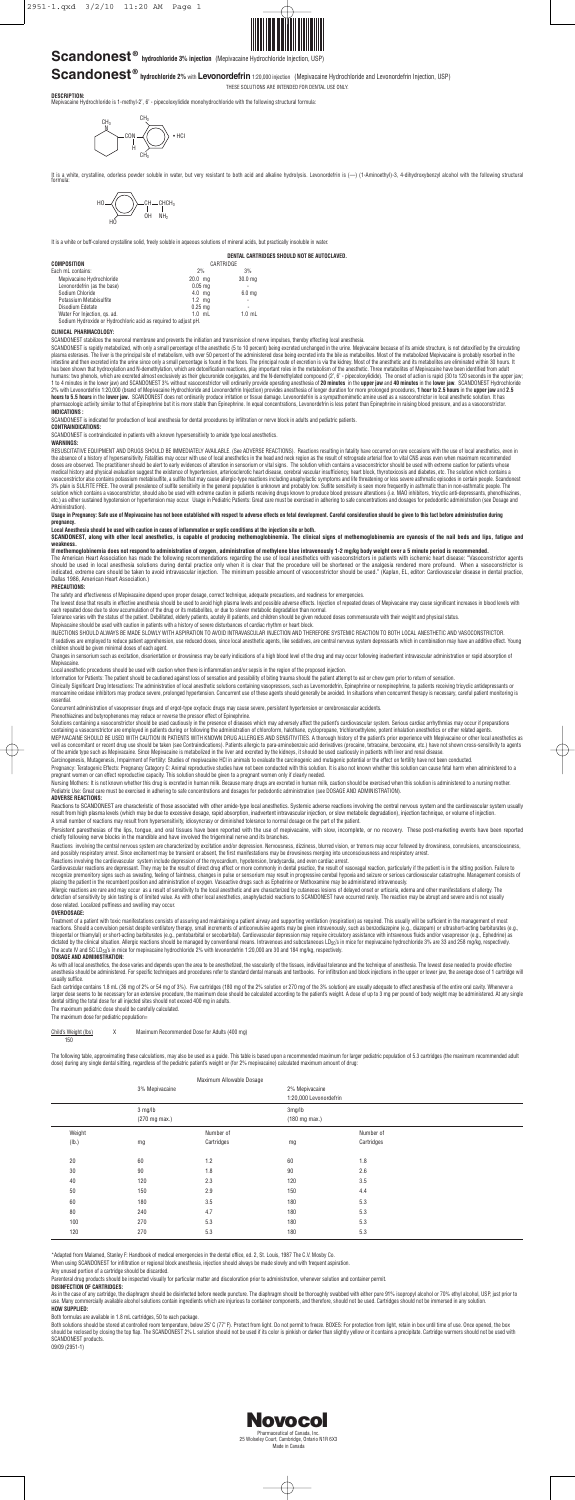

## **Scandonest<sup>®</sup> hydrochloride 3% injection** (Mepivacaine Hydrochloride Injection, USP)







Pharmaceutical of Canada, Inc. 25 Wolseley Court, Cambridge, Ontario N1R 6X3 Made in Canada

# **Scandonest ® hydrochloride 2%** with **Levonordefrin** 1:20,000 injection (Mepivacaine Hydrochloride and Levonordefrin Injection, USP)

THESE SOLUTIONS ARE INTENDED FOR DENTAL USE ONLY.

**DESCRIPTION:** Mepivacaine Hydrochloride is 1-methyl-2', 6' - pipecoloxylidide monohydrochloride with the following structural formula:

It is a white, crystalline, odorless powder soluble in water, but very resistant to both acid and alkaline hydrolysis. Levonordefrin is (—) (1-Aminoethyl)-3, 4-dihydroxybenzyl alcohol with the following structural formula:

It is a white or buff-colored crystalline solid, freely soluble in aqueous solutions of mineral acids, but practically insoluble in water.

**DENTAL CARTRIDGES SHOULD NOT BE AUTOCLAVED.**

| COMPOSITION                                                     | CARTRIDGE         |                    |  |
|-----------------------------------------------------------------|-------------------|--------------------|--|
| Each mL contains:                                               | 2%                | 3%                 |  |
| Mepivacaine Hydrochloride                                       | $20.0$ ma         | 30.0 <sub>mg</sub> |  |
| Levonordefrin (as the base)                                     | $0.05$ mg         | ۰                  |  |
| Sodium Chloride                                                 | $4.0$ ma          | 6.0 <sub>mg</sub>  |  |
| Potassium Metabisulfite                                         | $1.2 \text{ mg}$  | ÷                  |  |
| Disodium Edetate                                                | $0.25 \text{ ma}$ |                    |  |
| Water For Injection, gs. ad.                                    | $1.0$ mL          | $1.0$ mL           |  |
| Sodium Hydroxide or Hydrochloric acid as required to adjust pH. |                   |                    |  |

**CLINICAL PHARMACOLOGY:**

SCANDONEST stabilizes the neuronal membrane and prevents the initiation and transmission of nerve impulses, thereby effecting local anesthesia.

SCANDONEST is rapidly metabolized, with only a small percentage of the anesthetic (5 to 10 percent) being excreted unchanged in the urine. Mepivacaine because of its amide structure, is not detoxified by the circulating<br>pl has been shown that hydroxylation and N-demethylation, which are detoxification reactions, play important roles in the metabolism of the anesthetic. Three metabolites of Mepivacaine have been identified from adult<br>humans: **INDICATIONS :**

RESUSCITATIVE EQUIPMENT AND DRUGS SHOULD BE IMMEDIATELY AVAILABLE. (See ADVERSE REACTIONS). Reactions resulting in fatality have occurred on rare occasions with the use of local anesthetics, even in<br>the absence of a histor medical history and physical evaluation suggest the existence of hypertension, arteriosclerotic heart disease, cerebral vascular insufficiency, heart block, thyrotoxicosis and diabetes, etc. The solution which contains a<br>v solution which contains a vasoconstrictor, should also be used with extreme caution in patients receiving drugs known to produce blood pressure alterations (i.e. MAO inhibitors, tricyclic anti-depressants, phenothiazines,<br> Administration).

SCANDONEST is indicated for production of local anesthesia for dental procedures by infiltration or nerve block in adults and pediatric patients.

### **CONTRAINDICATIONS:**

SCANDONEST is contraindicated in patients with a known hypersensitivity to amide type local anesthetics.

#### **WARNINGS:**

INJECTIONS SHOULD ALWAYS BE MADE SLOWLY WITH ASPIRATION TO AVOID INTRAVASCULAR INJECTION AND THEREFORE SYSTEMIC REACTION TO BOTH LOCAL ANESTHETIC AND VASOCONSTRICTOR. If sedatives are employed to reduce patient apprehension, use reduced doses, since local anesthetic agents, like sedatives, are central nervous system depressants which in combination may have an additive effect. Young<br>chi

Changes in sensorium such as excitation, disorientation or drowsiness may be early indications of a high blood level of the drug and may occur following inadvertent intravascular administration or rapid absorption of **Mepivacaine** 

Local anesthetic procedures should be used with caution when there is inflammation and/or sepsis in the region of the proposed injection

Clinically Significant Drug Interactions: The administration of local anesthetic solutions containing vasopressors, such as Levornordefrin, Epinephrine or norepinephrine, to patients receiving tricyclic antidepressants or<br> essential.

Concurrent administration of vasopressor drugs and of ergot-type oxytocic drugs may cause severe, persistent hypertension or cerebrovascular accidents.<br>Phenothiazines and butvrophenones may reduce or reverse the pressor ef

Solutions containing a vasoconstrictor should be used cautiously in the presence of diseases which may adversely affect the patient's cardiovascular system. Serious cardiac arrhythmias may occur if preparations<br>containing MEPIVACAINE SHOULD BE USED WITH CAUTION IN PATIENTS WITH KNOWN DRUG ALLERGIES AND SENSITIVITIES. A thorough history of the patient's prior experience with Mepivacaine or other local anesthetics as<br>well as concomitant or re

of the amide type such as Mepivacaine. Since Mepivacaine is metabolized in the liver and excreted by the kidneys, it should be used cautiously in patients with liver and renal disease.<br>Carcinogenesis. Mutagenesis. Impairme

Pregnancy: Teratogenic Effects: Pregnancy Category C: Animal reproductive studies have not been conducted with this solution. It is also not known whether this solution can cause fetal harm when administered to a<br>pregnant

Nursing Mothers: It is not known whether this drug is excreted in human milk. Because many drugs are excreted in human milk, caution should be exercised when this solution is administered to a nursing mother.<br>Pediatric Use

**Usage in Pregnancy: Safe use of Mepivacaine has not been established with respect to adverse effects on fetal development. Careful consideration should be given to this fact before administration during pregnancy.**

**Local Anesthesia should be used with caution in cases of inflammation or septic conditions at the injection site or both.**

**SCANDONEST, along with other local anesthetics, is capable of producing methemoglobinemia. The clinical signs of methemoglobinemia are cyanosis of the nail beds and lips, fatigue and weakness.**

If methemoglobinemia does not respond to administration of oxygen, administration of methylene blue intravenously 1-2 mg/kg body weight over a 5 minute period is recommended.<br>The American Heart Association has made the fol should be used in local anesthesia solutions during dental practice only when it is clear that the procedure will be shortened or the analgesia rendered more profound. When a vasoconstrictor is<br>indicated, extreme care shou

#### **PRECAUTIONS:**

detection of sensitivity by skin testing is of limited value. As with other local anesthetics, anaphylactoid reactions to SCANDONEST have occurred rarely. The reaction may be abrupt and severe and is not usually dose related. Localized puffiness and swelling may occur.

The safety and effectiveness of Mepivacaine depend upon proper dosage, correct technique, adequate precautions, and readiness for emergencies.

The lowest dose that results in effective anesthesia should be used to avoid high plasma levels and possible adverse effects. Injection of repeated doses of Mepivacaine may cause significant increases in blood levels with<br>

Tolerance varies with the status of the patient. Debilitated, elderly patients, acutely ill patients, and children should be given reduced doses commensurate with their weight and physical status.<br>Mepivacaine should be use

As with all local anesthetics, the dose varies and depends upon the area to be anesthetized, the vascularity of the tissues, individual tolerance and the technique of anesthesia. The lowest dose needed to provide effective usually suffice.

Child's Weight (lbs) X Maximum Recommended Dose for Adults (400 mg) 150

The following table, approximating these calculations, may also be used as a guide. This table is based upon a recommended maximum for larger pediatric population of 5.3 cartridges (the maximum recommended adult<br>dose) duri

Information for Patients: The patient should be cautioned against loss of sensation and possibility of biting trauma should the patient attempt to eat or chew gum prior to return of sensation.

Both solutions should be stored at controlled room temperature, below 25° C (77° F). Protect from light, Do not permit to freeze. BOXES: For protection from light, retain in box until time of use. Once opened, the box<br>shou SCANDONEST products.

#### **ADVERSE REACTIONS:**

Reactions to SCANDONEST are characteristic of those associated with other amide-type local anesthetics. Systemic adverse reactions involving the central nervous system and the cardiovascular system usually result from high plasma levels (which may be due to excessive dosage, rapid absorption, inadvertent intravascular injection, or slow metabolic degradation), injection technique, or volume of injection. A small number of reactions may result from hypersensitivity, idiosyncrasy or diminished tolerance to normal dosage on the part of the patient.

Persistent paresthesias of the lips, tongue, and oral tissues have been reported with the use of mepivacaine, with slow, incomplete, or no recovery. These post-marketing events have been reported<br>chiefly following nerve bl

Reactions involving the central nervous system are characterized by excitation and/or depression. Nervousness, dizziness, blurred vision, or tremors may occur followed by drowsiness, convulsions, unconsciousness, and possibly respiratory arrest. Since excitement may be transient or absent, the first manifestations may be drowsiness merging into unconsciousness and respiratory arrest.<br>Reactions involving the cardiovascular system in

Cardiovascular reactions are depressant. They may be the result of direct drug effect or more commonly in dental practice, the result of vasovagal reaction, particularly if the patient is in the sitting position. Failure t

#### **OVERDOSAGE:**

Treatment of a patient with toxic manifestations consists of assuring and maintaining a patient airway and supporting ventilation (respiration) as required. This usually will be sufficient in the management of most

reactions. Should a convulsion persist despite ventilatory therapy, small increments of anticonvulsive agents may be given intravenously, such as benzodiazepine (e.g., diazepam) or ultrashort-acting barbiturates (e.g.,<br>thi The acute IV and SC LD<sub>50</sub>'s in mice for mepivacaine hydrochloride 2% with levonordefrin 1:20,000 are 30 and 184 mg/kg, respectively.

#### **DOSAGE AND ADMINISTRATION:**

Each cartridge contains 1.8 mL (36 mg of 2% or 54 mg of 3%). Five cartridges (180 mg of the 2% solution or 270 mg of the 3% solution) are usually adequate to effect anesthesia of the entire oral cavity. Whenever a larger dose seems to be necessary for an extensive procedure, the maximum dose should be calculated according to the patient's weight. A dose of up to 3 mg per pound of body weight may be administered. At any single dental sitting the total dose for all injected sites should not exceed 400 mg in adults. The maximum pediatric dose should be carefully calculated.

The maximum dose for pediatric population=

| Maximum Allowable Dosage |                |            |                        |            |  |
|--------------------------|----------------|------------|------------------------|------------|--|
|                          | 3% Mepivacaine |            | 2% Mepivacaine         |            |  |
|                          |                |            | 1:20,000 Levonordefrin |            |  |
|                          | 3 mg/lb        |            | 3mg/lb                 |            |  |
|                          | (270 mg max.)  |            | (180 mg max.)          |            |  |
| Weight                   |                | Number of  |                        | Number of  |  |
| (Ib.)                    | mg             | Cartridges | mg                     | Cartridges |  |
|                          |                |            |                        |            |  |
| 20                       | 60             | 1.2        | 60                     | 1.8        |  |
| 30                       | 90             | 1.8        | 90                     | 2.6        |  |
| 40                       | 120            | 2.3        | 120                    | 3.5        |  |
| 50                       | 150            | 2.9        | 150                    | 4.4        |  |
| 60                       | 180            | 3.5        | 180                    | 5.3        |  |
| 80                       | 240            | 4.7        | 180                    | 5.3        |  |
| 100                      | 270            | 5.3        | 180                    | 5.3        |  |
| 120                      | 270            | 5.3        | 180                    | 5.3        |  |

\*Adapted from Malamed, Stanley F: Handbook of medical emergencies in the dental office, ed. 2, St. Louis, 1987 The C.V. Mosby Co.

When using SCANDONEST for infiltration or regional block anesthesia, injection should always be made slowly and with frequent aspiration.

Any unused portion of a cartridge should be discarded.

Parenteral drug products should be inspected visually for particular matter and discoloration prior to administration, whenever solution and container permit.

#### **DISINFECTION OF CARTRIDGES:**

As in the case of any cartridge, the diaphragm should be disinfected before needle puncture. The diaphragm should be thoroughly swabbed with either pure 91% isopropyl alcohol or 70% ethyl alcohol, USP, just prior to<br>use. M

#### **HOW SUPPLIED:**

Both formulas are available in 1.8 mL cartridges, 50 to each package.

09/09 (2951-1)